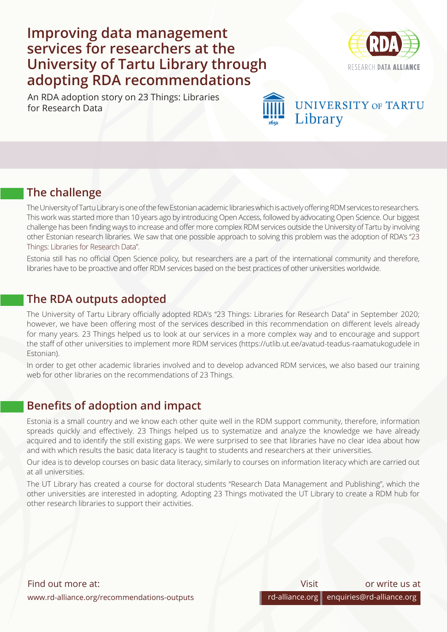# **Improving data management services for researchers at the University of Tartu Library through adopting RDA recommendations**

An RDA adoption story on 23 Things: Libraries for Research Data



## **UNIVERSITY OF TARTU** Library

### **The challenge**

The University of Tartu Library is one of the few Estonian academic libraries which is actively offering RDM services to researchers. This work was started more than 10 years ago by introducing Open Access, followed by advocating Open Science. Our biggest challenge has been finding ways to increase and offer more complex RDM services outside the University of Tartu by involving other Estonian research libraries. We saw that one possible approach to solving this problem was the adoption of RDA's "[23](https://www.rd-alliance.org/group/libraries-research-data-ig/outcomes/23-things-libraries-research-data-supporting-output) [Things: Libraries for Research Data](https://www.rd-alliance.org/group/libraries-research-data-ig/outcomes/23-things-libraries-research-data-supporting-output)".

Estonia still has no official Open Science policy, but researchers are a part of the international community and therefore, libraries have to be proactive and offer RDM services based on the best practices of other universities worldwide.

#### **The RDA outputs adopted**

The University of Tartu Library officially adopted RDA's "23 Things: Libraries for Research Data" in September 2020; however, we have been offering most of the services described in this recommendation on different levels already for many years. 23 Things helped us to look at our services in a more complex way and to encourage and support the staff of other universities to implement more RDM services (https://utlib.ut.ee/avatud-teadus-raamatukogudele in Estonian).

In order to get other academic libraries involved and to develop advanced RDM services, we also based our training web for other libraries on the recommendations of 23 Things.

### **Benefits of adoption and impact**

Estonia is a small country and we know each other quite well in the RDM support community, therefore, information spreads quickly and effectively. 23 Things helped us to systematize and analyze the knowledge we have already acquired and to identify the still existing gaps. We were surprised to see that libraries have no clear idea about how and with which results the basic data literacy is taught to students and researchers at their universities.

Our idea is to develop courses on basic data literacy, similarly to courses on information literacy which are carried out at all universities.

The UT Library has created a course for doctoral students "Research Data Management and Publishing", which the other universities are interested in adopting. Adopting 23 Things motivated the UT Library to create a RDM hub for other research libraries to support their activities.